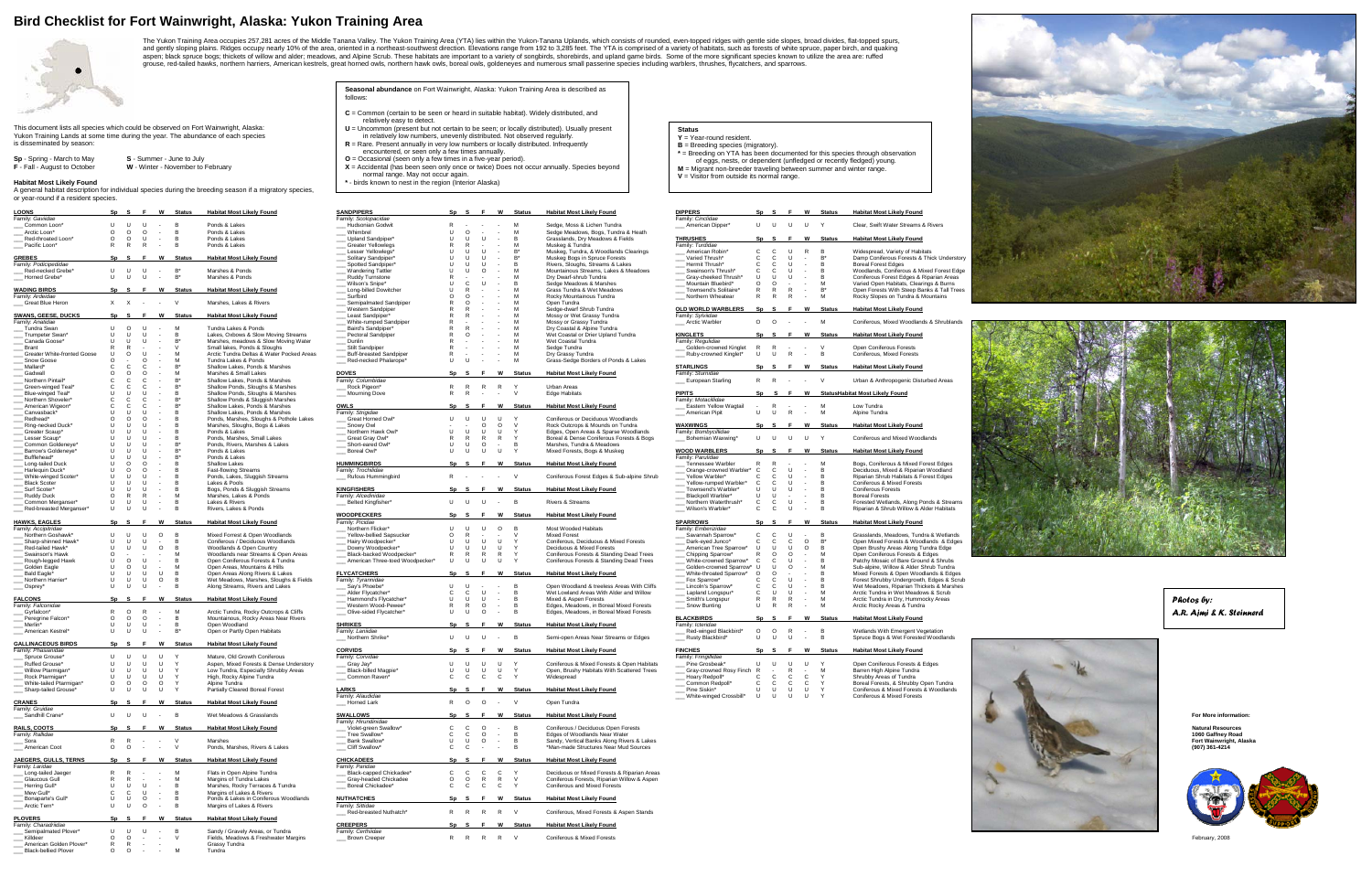## **Bird Checklist for Fort Wainwright, Alaska: Yukon Training Area**



The Yukon Training Area occupies 257,281 acres of the Middle Tanana Valley. The Yukon Training Area (YTA) lies within the Yukon-Tanana Uplands, which consists of rounded, even-topped ridges with gentle side slopes, broad d aspen; black spruce bogs; thickets of willow and alder; meadows, and Alpine Scrub. These habitats are important to a variety of songbirds, shorebirds, and upland game birds. Some of the more significant species known to ut grouse, red-tailed hawks, northern harriers, American kestrels, great horned owls, northern hawk owls, boreal owls, goldeneyes and numerous small passerine species including warblers, thrushes, flycatchers, and sparrows.

This document lists all species which could be observed on Fort Wainwright, Alaska: Yukon Training Lands at some time during the year. The abundance of each species is disseminated by season:

| <b>Sp</b> - Spring - March to May   | S - Summer - June to July         |
|-------------------------------------|-----------------------------------|
| <b>F</b> - Fall - August to October | W - Winter - November to February |

## **Habitat Most Likely Found**

A general habitat description for individual species during the breeding season if a migratory species, or year-round if a resident species.

- **C** = Common (certain to be seen or heard in suitable habitat). Widely distributed, and relatively easy to detect.
- $\mathsf{U} = \mathsf{Uncommon}$  (present but not certain to be seen; or locally distributed). Usually present<br>in relatively low numbers, unevenly distributed. Not observed regularly.<br> $\mathsf{R} = \mathsf{R}$  are. Present annually in very low num
- 
- **O** = Occasional (seen only a few times in a five-year period).

**X** = Accidental (has been seen only once or twice) Does not occur annually. Species beyond<br>normal range. May not occur again.<br>\* - birds known to nest in the region (Interior Alaska)

## **Status**

- 
- **Y** = Year-round resident.<br>**B** = Breeding species (migratory).<br>\* = Breeding on YTA has been documented for this species through observation<br>of eggs, nests, or dependent (unfledged or recently fledged) young.<br>**M** = Migrant

**V** = Visitor from outside its normal range.

| <b>DIPPERS</b><br>Family: Cinclidae           | Sp      | S              | F                   | W                    | <u>Status</u> | <b>Habitat Most Likely Found</b>                                                     |
|-----------------------------------------------|---------|----------------|---------------------|----------------------|---------------|--------------------------------------------------------------------------------------|
| American Dipper*                              | U       | U              | U                   | U                    | Υ             | Clear, Swift Water Streams & Rivers                                                  |
| <b>THRUSHES</b>                               | Sp      | s              | F                   | W                    | <b>Status</b> | <b>Habitat Most Likely Found</b>                                                     |
| Family: Turdidae<br>American Robin*           | С       | С              | U                   | R                    | В             | Widespread, Variety of Habitats                                                      |
| Varied Thrush*                                | C       | C              | U                   | -                    | B*            | Damp Coniferous Forests & Thick Understory                                           |
| Hermit Thrush*                                | C       | C              | U                   | $\overline{a}$       | B             | Boreal Forest Edges                                                                  |
| Swainson's Thrush*                            | С       | С              | U                   |                      | в             | Woodlands, Coniferous & Mixed Forest Edge                                            |
| Gray-cheeked Thrush*                          | U       | U              | U                   | $\overline{a}$       | в             | Coniferous Forest Edges & Riparian Areas                                             |
| Mountain Bluebird*                            | O       | O              | L.                  | $\overline{a}$       | М             | Varied Open Habitats, Clearings & Burns                                              |
| Townsend's Solitaire*                         | R       | R              | R                   | L,                   | B'            | Open Forests With Steep Banks & Tall Trees                                           |
| Northern Wheatear                             | R       | R              | R                   | $\overline{a}$       | M             | Rocky Slopes on Tundra & Mountains                                                   |
| <b>OLD WORLD WARBLERS</b>                     | Sp      | s              | F                   | W                    | <b>Status</b> | <b>Habitat Most Likely Found</b>                                                     |
| Family: Sylviidae<br>Arctic Warbler           | O       | O              | L                   | $\overline{a}$       | м             | Coniferous, Mixed Woodlands & Shrublands                                             |
| <b>KINGLETS</b>                               |         |                | F                   | W                    |               |                                                                                      |
| Family: Regulidae                             | Sp      | S              |                     |                      | <b>Status</b> | <b>Habitat Most Likely Found</b>                                                     |
| Golden-crowned Kinglet                        | R       | R              |                     |                      | V             | Open Coniferous Forests                                                              |
| Ruby-crowned Kinglet*                         | U       | U              | R                   | $\overline{a}$       | в             | Coniferous, Mixed Forests                                                            |
| <u>STARLINGS</u>                              | Sp      | S              | F                   | W                    | <b>Status</b> | <b>Habitat Most Likely Found</b>                                                     |
| Family: Sturnidae                             |         |                |                     |                      |               |                                                                                      |
| European Starling                             | R       | R              | l,                  | $\overline{a}$       | ٧             | Urban & Anthropogenic Disturbed Areas                                                |
| <b>PIPITS</b>                                 | Sp      | s              | F                   | W                    |               | <b>StatusHabitat Most Likely Found</b>                                               |
| Family: Motacillidae                          |         |                |                     |                      |               |                                                                                      |
| Eastern Yellow Wagtail                        | Ĭ.<br>U | R              | $\overline{a}$<br>R | ÷,<br>$\overline{a}$ | м             | Low Tundra                                                                           |
| American Pipit                                |         | U              |                     |                      | м             | Alpine Tundra                                                                        |
| <b>WAXWINGS</b>                               | Sp      | s              | F                   | W                    | <b>Status</b> | <b>Habitat Most Likely Found</b>                                                     |
| Family: Bombycillidae<br>Bohemian Waxwing*    | U       | U              | U                   | U                    | Y             | Coniferous and Mixed Woodlands                                                       |
| <b>WOOD WARBLERS</b>                          | Sp      | S              | F                   | W                    | <b>Status</b> | <b>Habitat Most Likely Found</b>                                                     |
| Family: Parulidae                             |         |                |                     |                      |               |                                                                                      |
| Tennessee Warbler                             | R       | R              |                     | -                    | м             | Bogs, Coniferous & Mixed Forest Edges                                                |
| Orange-crowned Warbler*                       | C       | С              | U                   | ÷,                   | в             | Deciduous, Mixed & Riparian Woodland                                                 |
| Yellow Warbler*                               | С       | С              | U                   |                      | в             | Riparian Shrub Habitats & Forest Edges                                               |
| Yellow-rumped Warbler*<br>Townsend's Warbler* | С<br>U  | С<br>Ù         | υ                   | ÷,<br>$\overline{a}$ | B<br>B        | Coniferous & Mixed Forests<br>Coniferous Forests                                     |
| Blackpoll Warbler*                            | U       |                | U                   | $\overline{a}$       | B             | <b>Boreal Forests</b>                                                                |
| Northern Waterthrush*                         | С       | U<br>С         | ٠<br>U              |                      | в             |                                                                                      |
| Wilson's Warbler*                             | С       | C              | U                   | $\overline{a}$       | В             | Forested Wetlands, Along Ponds & Streams<br>Riparian & Shrub Willow & Alder Habitats |
| <b>SPARROWS</b>                               | Sp      | S              | F                   | W                    | <b>Status</b> | <b>Habitat Most Likely Found</b>                                                     |
| Family: Emberizidae                           |         |                |                     |                      |               |                                                                                      |
| Savannah Sparrow*                             | С       | С              | U                   | $\overline{a}$       | в             | Grasslands, Meadows, Tundra & Wetlands                                               |
| Dark-eyed Junco*                              | C       | C              | С                   | O                    | B,            | Open Mixed Forests & Woodlands & Edges                                               |
| American Tree Sparrow*                        | U       | U              | U                   | O                    | в             | Open Brushy Areas Along Tundra Edge                                                  |
| Chipping Sparrow*                             | R       | O              | O                   |                      | м             | Open Coniferous Forests & Edges                                                      |
| White-crowned Sparrow*                        | С       | С              | U                   | ÷,                   | в             | Patchy Mosaic of Bare Ground & Shrubs                                                |
| Golden-crowned Sparrow*                       | U       | U              | O                   | l,                   | M             | Sub-alpine, Willow & Alder Shrub Tundra                                              |
| White-throated Sparrow*                       | O       | O              |                     |                      | в             | Mixed Forests & Open Woodlands & Edges                                               |
| Fox Sparrow*                                  | C       | C              | U                   | $\overline{a}$       | в             | Forest Shrubby Undergrowth, Edges & Scrub                                            |
| Lincoln's Sparrow*                            | С       | С              | U                   |                      | В             | Wet Meadows, Riparian Thickets & Marshes                                             |
| Lapland Longspur*                             | С       | U              | U                   | $\overline{a}$<br>÷, | м             | Arctic Tundra in Wet Meadows & Scrub                                                 |
| Smith's Longspur<br>Snow Bunting              | R<br>U  | R<br>R         | R<br>R              | $\overline{a}$       | М<br>M        | Arctic Tundra in Dry, Hummocky Areas<br>Arctic Rocky Areas & Tundra                  |
|                                               |         | s              | F                   | W                    |               |                                                                                      |
| <b>BLACKBIRDS</b><br>Family: Icteridae        | Sp      |                |                     |                      | <b>Status</b> | <b>Habitat Most Likely Found</b>                                                     |
| Red-winged Blackbird*                         | O       | O              | R                   |                      | В             | Wetlands With Emergent Vegetation                                                    |
| Rusty Blackbird*                              | U       | U              | U                   | $\overline{a}$       | В             | Spruce Bogs & Wet Forested Woodlands                                                 |
| <b>FINCHES</b>                                | Sp      | s              | F                   | W                    | <b>Status</b> | <b>Habitat Most Likely Found</b>                                                     |
| Family: Fringillidae                          |         |                |                     |                      |               |                                                                                      |
| Pine Grosbeak*                                | U       | U              | U                   | U                    | Υ             | Open Coniferous Forests & Edges                                                      |
| Gray-crowned Rosy Finch                       | R       | $\overline{a}$ | R                   | $\overline{a}$       | м             | Barren High Alpine Tundra                                                            |
| Hoary Redpoll*<br>Common Redpoll*             | С<br>C  | С<br>C         | С<br>C              | С<br>C               | Υ<br>Υ        | Shrubby Areas of Tundra                                                              |
| Pine Siskin*                                  | U       | U              | U                   | U                    | Υ             | Boreal Forests, & Shrubby Open Tundra<br>Coniferous & Mixed Forests & Woodlands      |
| White-winged Crossbill*                       | U       | U              | U                   | U                    | Υ             | Coniferous & Mixed Forests                                                           |
|                                               |         |                |                     |                      |               |                                                                                      |





| ui voar-luullu II a lookuu Juotkot                |                                               |                                                        |                                                                           |                                                      |                               |                                              |                                                                                     |                                                     |                                                                                        |                                                                                       |                                           |
|---------------------------------------------------|-----------------------------------------------|--------------------------------------------------------|---------------------------------------------------------------------------|------------------------------------------------------|-------------------------------|----------------------------------------------|-------------------------------------------------------------------------------------|-----------------------------------------------------|----------------------------------------------------------------------------------------|---------------------------------------------------------------------------------------|-------------------------------------------|
| <b>LOONS</b>                                      |                                               | F W Status                                             | <b>Habitat Most Likely Found</b>                                          | <b>SANDPIPERS</b>                                    |                               |                                              | F W Status Habitat Most Likely Found                                                | <u>DIPPERS</u>                                      | Sp S F W Status Habitat Most Likely Found                                              |                                                                                       |                                           |
| Family: Gaviidae<br>Common Loon*<br>U             | U<br>- U                                      | $\overline{B}$<br>$\sim 10^{-11}$                      | Ponds & Lakes                                                             | Family: Scolopacidae<br>Hudsonian Godwit             |                               | M<br>$\sim$ $-$                              | Sedge, Moss & Lichen Tundra                                                         | Family: Cinclidae<br>__ American Dipper*            | U U U U                                                                                | Clear, Swift Water Streams & Rivers                                                   |                                           |
| Arctic Loon*                                      | $0\quad 0$<br>$\circ$                         | $\sim 10^{-11}$<br>$\overline{B}$                      | Ponds & Lakes                                                             | Whimbrel                                             | $\mathbf{U}$<br>$\circ$       | M<br>$\sim$ $\sim$<br>$\sim 10^{-11}$        | Sedge Meadows, Bogs, Tundra & Heath                                                 |                                                     |                                                                                        |                                                                                       |                                           |
| Red-throated Loon*                                | $\cup$<br>$\circ$ $\circ$                     | $\sim 10^{-11}$<br>- B                                 | Ponds & Lakes                                                             | _ Upland Sandpiper                                   | - U<br>$\mathbf{U}$           | $\cup$<br>$\sim 10^{-10}$<br>$\overline{B}$  | Grasslands, Dry Meadows & Fields                                                    | <b>THRUSHES</b>                                     | Sp S F W Status                                                                        | <b>Habitat Most Likely Found</b>                                                      |                                           |
| Pacific Loon*                                     | $R$ $R$<br>- R                                | $\sim$ 100 $\sim$                                      | Ponds & Lakes                                                             | Greater Yellowlegs                                   | R<br>R                        | M<br>$\sim$ $-$<br>$\sim$                    | Muskeg & Tundra                                                                     | Family: Turdidae                                    |                                                                                        |                                                                                       |                                           |
|                                                   |                                               |                                                        |                                                                           | Lesser Yellowlegs                                    | $\cup$<br>$\mathbf{U}$        | <b>U</b><br>$B^*$<br>$\sim 10^{-11}$         | Muskeg, Tundra, & Woodlands Clearings                                               | American Robin*                                     | $C$ $C$<br>$\cup$<br>R<br>- B                                                          | Widespread, Variety of Habitats                                                       |                                           |
| <b>GREBES</b>                                     | Sn S                                          | <b>Status</b>                                          | <b>Habitat Most Likely Found</b>                                          | Solitary Sandpiper                                   | $U$ $U$<br>$\mathbf{U}$       | $\cup$<br>$B^*$<br>$\sim$                    | Muskeg Bogs in Spruce Forests                                                       | __ Varied Thrush*                                   | $C$ $C$ $U$ $-$                                                                        | Damp Coniferous Forests & Thick Understory                                            |                                           |
| Family: Podicipedidae<br>Red-necked Grebe         | $\cup$<br>U U                                 | - B*<br>$\sim 100$                                     | Marshes & Ponds                                                           | <b>Spotted Sandpiper</b><br><b>Wandering Tattler</b> | $\cup$<br>- U                 | U<br>$\sim$ $-$<br>$\circ$<br><b>M</b>       | Rivers, Sloughs, Streams & Lakes<br>Mountainous Streams, Lakes & Meadows            | Hermit Thrush*<br>Swainson's Thrush'                | $C$ $C$ $U$<br><b>Contract</b><br>$\mathbf{C}$<br>$\mathbf{C}$<br>$\cup$<br>$\sim$ $-$ | <b>Boreal Forest Edges</b><br>Woodlands, Coniferous & Mixed Forest Edge               |                                           |
| Horned Grebe*                                     | U U U - B*                                    |                                                        | Marshes & Ponds                                                           | Ruddy Turnstone                                      |                               |                                              | Dry Dwarf-shrub Tundra                                                              | Gray-cheeked Thrush*                                | U<br>$\blacksquare$<br>- U<br><b>Contract</b>                                          | Coniferous Forest Edges & Riparian Areas                                              |                                           |
|                                                   |                                               |                                                        |                                                                           | Wilson's Snipe*                                      | $\overline{c}$                | $\overline{\mathbf{u}}$<br>$\sim$ 100 $\mu$  | Sedge Meadows & Marshes                                                             | Mountain Bluebird*                                  | $\circ$<br>$\bigcap$<br>M<br>$\sim 100$<br>$\sim$ 100 $\sim$                           | Varied Open Habitats, Clearings & Burns                                               |                                           |
| <b>WADING BIRDS</b>                               |                                               | Sp S_F W Status                                        | <b>Habitat Most Likely Found</b>                                          | _ Long-billed Dowitcher                              |                               |                                              | Grass Tundra & Wet Meadows                                                          | Townsend's Solitaire*                               | R R<br>R<br>$\sim 10^{-11}$<br>$R^*$                                                   | Open Forests With Steep Banks & Tall Trees                                            |                                           |
| Family: Ardeidae                                  |                                               |                                                        |                                                                           | Surfbird                                             | $\Omega$                      | M                                            | Rocky Mountainous Tundra                                                            | Northern Wheatear                                   | R R R<br>- M                                                                           | Rocky Slopes on Tundra & Mountains                                                    |                                           |
| Great Blue Heron                                  | $X$ $X$ $  V$                                 |                                                        | Marshes, Lakes & Rivers                                                   | Semipalmated Sandpiper                               |                               | M<br>M                                       | Open Tundra<br>Sedge-dwarf Shrub Tundra                                             | <b>OLD WORLD WARBLERS</b>                           | Sp S F W Status                                                                        | <b>Habitat Most Likely Found</b>                                                      |                                           |
| <b>SWANS, GEESE, DUCKS</b>                        |                                               | Sp S F W Status                                        | <b>Habitat Most Likely Found</b>                                          | Western Sandpiper<br>_ Least Sandpiper'              |                               | M                                            | Mossy or Wet Grassy Tundra                                                          | Family: Sylviidae                                   |                                                                                        |                                                                                       |                                           |
| Family: Anatidae                                  |                                               |                                                        |                                                                           | White-rumped Sandpiper                               |                               | M                                            | Mossy or Grassy Tundra                                                              | __ Arctic Warbler                                   | 0 0 - - - M                                                                            | Coniferous, Mixed Woodlands & Shrublands                                              |                                           |
| Tundra Swan                                       | $U$ 0<br>$\cup$                               | <b>Contract</b>                                        | Tundra Lakes & Ponds                                                      | Baird's Sandpiper*                                   |                               |                                              | Dry Coastal & Alpine Tundra                                                         |                                                     |                                                                                        |                                                                                       |                                           |
| Trumpeter Swan                                    | U U<br>$\cup$                                 | $-$ B                                                  | Lakes, Oxbows & Slow Moving Streams                                       | Pectoral Sandpiper                                   |                               |                                              | Wet Coastal or Drier Upland Tundra                                                  | <b>KINGLETS</b>                                     | <b>Status</b>                                                                          | <b>Habitat Most Likely Found</b>                                                      |                                           |
| Canada Goose'                                     | U U<br>$\cup$                                 | $-$ B <sup>*</sup>                                     | Marshes, meadows & Slow Moving Water                                      | Dunlin                                               |                               | <b>M</b><br><b>M</b>                         | Wet Coastal Tundra                                                                  | Family: Regulidae                                   |                                                                                        |                                                                                       |                                           |
| Brant<br>Greater White-fronted Goose<br>U         | - R<br>- 11<br>0                              | $\sim 10^{-1}$<br><b>M</b><br><b>Contract Contract</b> | Small lakes, Ponds & Sloughs<br>Arctic Tundra Deltas & Water Pocked Areas | _ Stilt Sandpiper<br>Buff-breasted Sandpiper         |                               | M                                            | Sedge Tundra<br>Dry Grassy Tundra                                                   | Golden-crowned Kinglet R R<br>Ruby-crowned Kinglet* | $\sim$<br>$\cup$ $\cup$<br>R<br><b>Contract</b>                                        | Open Coniferous Forests<br>Coniferous, Mixed Forests                                  |                                           |
| Snow Goose<br>$\Omega$                            | <sup>o</sup>                                  | $\sim$                                                 | Tundra Lakes & Ponds                                                      | Red-necked Phalarope*                                | $U$ $U$                       | M<br><b>Contract</b><br>$\sim$               | Grass-Sedge Borders of Ponds & Lakes                                                |                                                     |                                                                                        |                                                                                       |                                           |
| Mallard*                                          | - C<br>C.                                     | $\sim$                                                 | Shallow Lakes, Ponds & Marshes                                            |                                                      |                               |                                              |                                                                                     | <b>STARLINGS</b>                                    | Sp S F W Status                                                                        | <b>Habitat Most Likely Found</b>                                                      |                                           |
| Gadwall                                           | $\Omega$<br>$\Omega$                          |                                                        | Marshes & Small Lakes                                                     | <b>DOVES</b>                                         |                               | Status                                       | <b>Habitat Most Likely Found</b>                                                    | Family: Sturnidae                                   |                                                                                        |                                                                                       |                                           |
| Northern Pintail*                                 | C.<br>-C                                      |                                                        | Shallow Lakes, Ponds & Marshes                                            | Family: Columbidae                                   |                               |                                              |                                                                                     | __ European Starling                                | R R - - V                                                                              | Urban & Anthropogenic Disturbed Areas                                                 |                                           |
| Green-winged Teal                                 | C.<br>- C<br>- 11                             | $\sim$<br>$\sim$                                       | Shallow Ponds, Sloughs & Marshes                                          | _ Rock Pigeon*                                       | R R                           | R<br>R                                       | Urban Areas                                                                         |                                                     |                                                                                        |                                                                                       |                                           |
| Blue-winged Teal*<br>Northern Shoveler            | - U<br>C.<br>- C                              | $\sim$ 100 $\sim$                                      | Shallow Ponds, Sloughs & Marshes<br>Shallow Ponds & Sluggish Marshes      | ___ Mourning Dove                                    | R R                           | $\sim 10^{-11}$<br>$\sim 100$<br>$\vee$      | <b>Edge Habitats</b>                                                                | <b>PIPITS</b><br>Family: Motacillidae               | Sp S F W Status Habitat Most Likely Found                                              |                                                                                       |                                           |
| American Wigeon<br>C.                             | C.<br>$\mathbb{C}$                            | $\sim$ $\sim$                                          | Shallow Lakes, Ponds & Marshes                                            | <b>OWLS</b>                                          |                               | Sp S F W Status                              | <b>Habitat Most Likely Found</b>                                                    | __ Eastern Yellow Wagtail                           | $-R$<br>$ -$ M                                                                         | Low Tundra                                                                            |                                           |
| Canvasback*                                       | - U<br>- U                                    |                                                        | Shallow Lakes, Ponds & Marshes                                            | Family: Strigidae                                    |                               |                                              |                                                                                     | __ American Pipit                                   | U U R<br><b>Contract</b><br>- M                                                        | Alpine Tundra                                                                         |                                           |
| Redhead*                                          | $\circ$<br>$\Omega$                           |                                                        | Ponds, Marshes, Sloughs & Pothole Lakes                                   | Great Horned Owl'                                    | U U                           | $\cup$<br>$\cup$                             | Coniferous or Deciduous Woodlands                                                   |                                                     |                                                                                        |                                                                                       |                                           |
| Ring-necked Duck'                                 | - U<br>- U                                    | $\sim$ $-$                                             | Marshes, Sloughs, Bogs & Lakes                                            | __ Snowy Owl                                         | $\sigma_{\rm{max}}=0.5$       | $\circ$ $\circ$<br>$\vee$                    | Rock Outcrops & Mounds on Tundra                                                    | <b>WAXWINGS</b>                                     | Sp S F W Status                                                                        | <b>Habitat Most Likely Found</b>                                                      |                                           |
| Greater Scaup*<br>$\mathbf{H}$                    | $\mathbf{u}$<br>- U<br>$\blacksquare$<br>- 11 | $\sim$ 100 $\sim$                                      | Ponds & Lakes                                                             | Northern Hawk Owl                                    | $U$ $U$ $U$                   | $\cup$<br>Y<br>$\mathsf{Y}$                  | Edges, Open Areas & Sparse Woodlands                                                | Family: Bombycillidae                               |                                                                                        |                                                                                       |                                           |
| Lesser Scaup'<br>Common Goldeneye<br>$\mathbf{H}$ | - U<br>- U                                    | $\sim$                                                 | Ponds, Marshes, Small Lakes<br>Ponds, Rivers, Marshes & Lakes             | __ Great Gray Owl*<br>Short-eared Owl                | $R$ $R$<br>U<br>$\cup$        | R<br>R<br>$\circ$<br>- B<br>$\sim 100$       | Boreal & Dense Coniferous Forests & Bogs<br>Marshes, Tundra & Meadows               | __ Bohemian Waxwing*                                | U U U U Y                                                                              | Coniferous and Mixed Woodlands                                                        |                                           |
| Barrow's Goldeneve'                               | - U<br>- U                                    | $\sim$                                                 | Ponds & Lakes                                                             | __ Boreal Owl*                                       | $U$ $U$ $U$                   | $\cup$                                       | Mixed Forests, Bogs & Muskeg                                                        | <b>WOOD WARBLERS</b>                                | Sp S_F W Status                                                                        | <b>Habitat Most Likely Found</b>                                                      |                                           |
| Bufflehead*                                       | - U<br>- U                                    | $\sim$ $-$                                             | Ponds & Lakes                                                             |                                                      |                               |                                              |                                                                                     | Family: Parulidae                                   |                                                                                        |                                                                                       |                                           |
| Long-tailed Duck<br>U                             | $\circ$<br>$\Omega$                           | $\sim$ 100 $\mu$                                       | Shallow Lakes                                                             | <b>HUMMINGBIRDS</b>                                  |                               | Sp S F W Status                              | <b>Habitat Most Likely Found</b>                                                    | Tennessee Warbler                                   | R R<br><b>M</b><br>$\sim$ $-$<br>$\sim 10^{-1}$                                        | Bogs, Coniferous & Mixed Forest Edges                                                 |                                           |
| Harlequin Duck*<br>U                              | . റ<br>റ                                      |                                                        | <b>Fast-flowing Streams</b>                                               | Family: Trochilidae                                  |                               |                                              |                                                                                     | _Orange-crowned Warbler* C C                        | $\cup$<br><b>Contract</b>                                                              | Deciduous, Mixed & Riparian Woodland                                                  |                                           |
| White-winged Scoter*<br><b>Black Scoter</b>       | $\overline{11}$<br>- 11<br>$\Box$<br>- U      | $\sim$<br>$\sim$                                       | Ponds, Lakes, Sluggish Streams<br>Lakes & Pools                           | Rufous Hummingbird                                   |                               | R - - - V                                    | Coniferous Forest Edges & Sub-alpine Shrub                                          | Yellow Warbler*<br>Yellow-rumped Warbler*           | $\mathbf{C}$<br>- U<br>$\sim 10^{-11}$<br>C.<br>C<br>C<br>- U<br><b>Contract</b>       | Riparian Shrub Habitats & Forest Edges<br>Coniferous & Mixed Forests                  |                                           |
| Surf Scoter*                                      | - U<br>- U                                    | <b>Contract</b>                                        | Bogs, Ponds & Sluggish Streams                                            | <b>KINGFISHERS</b>                                   | Sp <sub>S</sub>               |                                              | <b>Habitat Most Likely Found</b>                                                    | Townsend's Warbler*                                 | U<br>- U -<br>- U<br>. B                                                               | <b>Coniferous Forests</b>                                                             |                                           |
| <b>Ruddy Duck</b>                                 | $O$ R                                         |                                                        | Marshes, Lakes & Ponds                                                    | Family: Alcedinidae                                  |                               |                                              |                                                                                     | Blackpoll Warbler*                                  | U<br>- 0<br><b>Contractor</b>                                                          | <b>Boreal Forests</b>                                                                 |                                           |
| Common Merganser*                                 | U U<br>- U                                    | $\sim$                                                 | Lakes & Rivers                                                            | __ Belted Kingfisher*                                | $U$ $U$ $U$                   | $-$ B                                        | Rivers & Streams                                                                    | Northern Waterthrush*                               | $c$ $c$<br>$\cup$<br>$\sim 10^{-11}$                                                   | Forested Wetlands, Along Ponds & Streams                                              |                                           |
| Red-breasted Merganser*                           | U U<br>. U                                    | $\sim$ 100 $\mu$                                       | Rivers, Lakes & Ponds                                                     | <b>WOODPECKERS</b>                                   |                               | Sp S F W Status                              | <b>Habitat Most Likely Found</b>                                                    | ___ Wilson's Warbler*                               | $c$ $c$<br>$\cup$<br><b>Contract Contract</b>                                          | Riparian & Shrub Willow & Alder Habitats                                              |                                           |
| <b>HAWKS, EAGLES</b>                              |                                               | Sp S F W Status                                        | <b>Habitat Most Likely Found</b>                                          | Family: <i>Picidae</i>                               |                               |                                              |                                                                                     | <b>SPARROWS</b>                                     | Sp S F W Status                                                                        | <b>Habitat Most Likely Found</b>                                                      |                                           |
| Family: Accipitridae                              |                                               |                                                        |                                                                           | __ Northern Flicker*                                 | U<br>$\cup$                   | $\circ$<br>$\cup$<br>- B                     | Most Wooded Habitats                                                                | Family: Emberizidae                                 |                                                                                        |                                                                                       |                                           |
| Northern Goshawk*<br>U                            | U<br>- 0                                      | $\circ$<br>- B                                         | Mixed Forrest & Open Woodlands                                            | Yellow-bellied Sapsucker                             | $\Omega$<br>R                 | <b>V</b><br>$\sim$<br>$\sim$ $-$             | <b>Mixed Forest</b>                                                                 | Savannah Sparrow*                                   | <b>U</b><br>C<br>$\mathbf{C}$<br>- B<br>$\sim 10^{-1}$                                 | Grasslands, Meadows, Tundra & Wetlands                                                |                                           |
| Sharp-shinned Hawk'<br>U                          | U U<br>$\cup$<br>- U                          | $\sim$                                                 | Coniferous / Deciduous Woodlands                                          | _ Hairy Woodpecker*                                  | U<br>$\cup$                   | $\cup$<br>$\cup$<br>Y                        | Coniferous, Deciduous & Mixed Forests                                               | Dark-eyed Junco*                                    | $\circ$<br>C<br>$\mathsf{C}$<br>$\mathbf{C}$<br>- B*<br>- U -<br>$\cup$                | Open Mixed Forests & Woodlands & Edges                                                |                                           |
| Red-tailed Hawk*<br>Swainson's Hawk<br>$\Omega$   | $\cup$                                        | $O$ B                                                  | Woodlands & Open Country<br>Woodlands near Streams & Open Areas           | _ Downy Woodpecker*<br>Black-backed Woodpecker*      | $U$ $U$<br>- U<br>$R$ $R$ $R$ | $\cup$<br>Y<br>R<br>Y                        | Deciduous & Mixed Forests<br>Coniferous Forests & Standing Dead Trees               | American Tree Sparrow*<br>Chipping Sparrow*         | U<br>$\circ$<br>- B<br>$\mathbb{R}$<br>$\Omega$<br>$\Omega$                            | Open Brushy Areas Along Tundra Edge<br>Open Coniferous Forests & Edges                |                                           |
| Rough-legged Hawk<br>U                            | <b>U</b><br>$\Omega$                          | <b>Contract</b>                                        | Open Coniferous Forests & Tundra                                          | _ American Three-toed Woodpecker*                    | $\cup$<br>- U                 | U<br>U                                       | Coniferous Forests & Standing Dead Trees                                            | White-crowned Sparrow*                              | $\mathbf{C}$<br>- C<br>- U                                                             | Patchy Mosaic of Bare Ground & Shrubs                                                 |                                           |
| Golden Eagle                                      | $\circ$<br>$\cup$                             | $\sim 100$                                             | Open Areas, Mountains & Hills                                             |                                                      |                               |                                              |                                                                                     | Golden-crowned Sparrow* U                           | - U<br>$\Omega$                                                                        | Sub-alpine, Willow & Alder Shrub Tundra                                               |                                           |
| Bald Eagle*                                       | $U$ $U$ $U$ $U$                               |                                                        | Open Areas Along Rivers & Lakes                                           | <b>FLYCATCHERS</b>                                   |                               | Sp S F W Status                              | <b>Habitat Most Likely Found</b>                                                    | White-throated Sparrow* O                           | $\Omega$                                                                               | Mixed Forests & Open Woodlands & Edges                                                |                                           |
| Northern Harrier                                  | U U U O<br>U U                                | - в<br>$\sim$ 100 $\sim$                               | Wet Meadows, Marshes, Sloughs & Fields                                    | Family: Tyrannidae                                   | $\mathbf{H}$<br>$\cup$        | the company of the company                   | Open Woodland & treeless Areas With Cliffs                                          | Fox Sparrow                                         | C.<br>- U<br>$\sim 100$<br>$\sim 100$<br>$c \, c$<br>$\cup$                            | Forest Shrubby Undergrowth, Edges & Scrub<br>Wet Meadows, Riparian Thickets & Marshes |                                           |
| _ Osprey*                                         | $\cup$                                        |                                                        | Along Streams, Rivers and Lakes                                           | __ Say's Phoebe*<br>_Alder Flycatcher*               | $\mathbf{C}$<br>$\mathbf{C}$  | U<br>$-$ B                                   | Wet Lowland Areas With Alder and Willow                                             | Lincoln's Sparrow<br>Lapland Longspur'              | C U<br><b>M</b><br>$\cup$ $\cdot$                                                      | Arctic Tundra in Wet Meadows & Scrub                                                  |                                           |
| <b>FALCONS</b>                                    | Sp <sub>S</sub>                               | F W Status                                             | <b>Habitat Most Likely Found</b>                                          | Hammond's Flycatcher'                                | U<br>$\cup$                   | $\cup$<br>$-$ B                              | Mixed & Aspen Forests                                                               | Smith's Longspur                                    | R R<br>R<br>$\sim$ $\sim$                                                              | Arctic Tundra in Dry, Hummocky Areas                                                  | Photos by:                                |
| Family: Falconidae                                |                                               |                                                        |                                                                           | Western Wood-Pewee*                                  | R R                           | $\circ$<br>$\sim 10^{-11}$<br>$\overline{B}$ | Edges, Meadows, in Boreal Mixed Forests                                             | __ Snow Bunting                                     | U R<br>$\overline{R}$<br>$\sim$<br>- M                                                 | Arctic Rocky Areas & Tundra                                                           |                                           |
| Gyrfalcon*                                        | R O<br>R                                      | <b>M</b><br>$\sim 10^{-1}$                             | Arctic Tundra, Rocky Outcrops & Cliffs                                    | __ Olive-sided Flycatcher*                           | $U$ $U$ $O$                   | $\sim 10^{-11}$                              | Edges, Meadows, in Boreal Mixed Forests                                             |                                                     |                                                                                        |                                                                                       | A.R. Ajmi & K. Steinne                    |
| Peregrine Falcon*                                 | $0\quad 0$<br>$\circ$                         | $\sim 10^{-11}$<br>- B                                 | Mountainous, Rocky Areas Near Rivers                                      |                                                      |                               |                                              |                                                                                     | <b>BLACKBIRDS</b>                                   | Sp S<br>F W Status                                                                     | <b>Habitat Most Likely Found</b>                                                      |                                           |
| Merlin*<br>American Kestrel*                      | $\cup$<br>U U<br>U U<br>$\cup$                | $\sim 10^{-11}$<br>- в<br>$B^*$<br><b>Contract</b>     | Open Woodland<br>Open or Partly Open Habitats                             | <b>SHRIKES</b><br>Family: Laniidae                   |                               | Sp S_F W Status                              | <b>Habitat Most Likely Found</b>                                                    | Family: Icteridae<br>Red-winged Blackbird*          | 0 0 R<br>. B                                                                           | Wetlands With Emergent Vegetation                                                     |                                           |
|                                                   |                                               |                                                        |                                                                           | Northern Shrike*                                     | $U$ $U$ $U$                   | $-$ B                                        | Semi-open Areas Near Streams or Edges                                               | __ Rusty Blackbird*                                 | $U$ $U$ $U$<br>$-$ B                                                                   | Spruce Bogs & Wet Forested Woodlands                                                  |                                           |
| <u>GALLINACEOUS BIRDS</u>                         |                                               | Sp S F W Status                                        | <b>Habitat Most Likely Found</b>                                          |                                                      |                               |                                              |                                                                                     |                                                     |                                                                                        |                                                                                       |                                           |
| Family: Phasianida                                |                                               |                                                        |                                                                           | <b>CORVIDS</b>                                       |                               | Sp S F W Status                              | <b>Habitat Most Likely Found</b>                                                    | <b>FINCHES</b>                                      | Sp S F W Status                                                                        | <b>Habitat Most Likely Found</b>                                                      |                                           |
| Spruce Grouse*<br>Ruffed Grouse*                  | U U<br>U U U U Y                              | $U$ $U$                                                | Mature, Old Growth Coniferous<br>Aspen, Mixed Forests & Dense Understory  | Family: Corvidae                                     | $U$ $U$ $U$                   | $\cup$<br>Y                                  | Coniferous & Mixed Forests & Open Habitats                                          | Family: Fringillidae<br>Pine Grosbeak*              | U U<br>$\cup$<br>U Y                                                                   | Open Coniferous Forests & Edges                                                       |                                           |
| $\cup$<br>Willow Ptarmigan                        | $\cup$ $\cup$                                 | U                                                      | Low Tundra, Especially Shrubby Areas                                      | ___ Gray Jay*<br>__ Black-billed Magpie*             | $U$ $U$ $U$                   | $\cup$                                       | Open, Brushy Habitats With Scattered Trees                                          | Gray-crowned Rosy Finch R                           | R<br><b>M</b><br>$\sim$ 100 $\sim$<br>$\sim 10^{-1}$                                   | Barren High Alpine Tundra                                                             |                                           |
| Rock Ptarmigan'                                   | $U = U = U$                                   | $\cup$                                                 | High, Rocky Alpine Tundra                                                 | Common Raven                                         | $c \quad c$                   | $\mathbf{C}$<br>$\mathbf{C}$                 | Widespread                                                                          | Hoary Redpoll*                                      | C Y<br>C.<br>C.<br>C                                                                   | Shrubby Areas of Tundra                                                               |                                           |
| White-tailed Ptarmigan                            | $0\quad 0\quad 0$                             | $\circ$                                                | Alpine Tundra                                                             |                                                      |                               |                                              |                                                                                     | Common Redpoll*                                     | $\mathbf{C}$<br>C C C Y                                                                | Boreal Forests, & Shrubby Open Tundra                                                 |                                           |
| Sharp-tailed Grouse*                              | U U<br>$\cup$                                 | $\cup$                                                 | Partially Cleared Boreal Forest                                           | <b>LARKS</b>                                         |                               | Sp S F W Status                              | <b>Habitat Most Likely Found</b>                                                    | Pine Siskin*                                        | $U$ $U$ $U$<br>$\cup$<br>Y                                                             | Coniferous & Mixed Forests & Woodlands                                                |                                           |
| <b>CRANES</b>                                     |                                               | Sn S F W Status                                        | <b>Habitat Most Likely Found</b>                                          | Family: Alaudidae                                    |                               | R O O - V                                    | Open Tundra                                                                         | White-winged Crossbill*                             | $U$ $U$ $U$<br>$\cup$<br>$\mathsf{Y}$                                                  | Coniferous & Mixed Forests                                                            |                                           |
| Family: <i>Gruidae</i>                            |                                               |                                                        |                                                                           | __ Horned Lark                                       |                               |                                              |                                                                                     |                                                     |                                                                                        |                                                                                       |                                           |
| __ Sandhill Crane*                                | U U U - B                                     |                                                        | Wet Meadows & Grasslands                                                  | <b>SWALLOWS</b>                                      |                               |                                              | Sp S F W Status Habitat Most Likely Found                                           |                                                     |                                                                                        |                                                                                       | For More information:                     |
|                                                   |                                               |                                                        |                                                                           | Family: Hirundinidae                                 |                               |                                              |                                                                                     |                                                     |                                                                                        |                                                                                       |                                           |
| <b>RAILS, COOTS</b>                               |                                               | Sp S F W Status                                        | <b>Habitat Most Likely Found</b>                                          | __ Violet-green Swallow*                             |                               | $C$ $C$ $O$ $ B$                             | Coniferous / Deciduous Open Forests                                                 |                                                     |                                                                                        |                                                                                       | <b>Natural Resources</b>                  |
| Family: Rallidae                                  |                                               |                                                        |                                                                           | _Tree Swallow*                                       |                               | $C$ $C$ $O$ $-B$                             | Edges of Woodlands Near Water                                                       |                                                     |                                                                                        |                                                                                       | 1060 Gaffney Road                         |
| _ Sora<br>American Coot                           | R R<br>$0 \quad 0 \quad - \quad - \quad V$    | . V                                                    | Marshes<br>Ponds, Marshes, Rivers & Lakes                                 | __ Bank Swallow'<br>__ Cliff Swallow*                |                               | U U O - B<br>$C$ $C$ $  B$                   | Sandy, Vertical Banks Along Rivers & Lakes<br>*Man-made Structures Near Mud Sources |                                                     |                                                                                        |                                                                                       | Fort Wainwright, Alaska<br>(907) 361-4214 |
|                                                   |                                               |                                                        |                                                                           |                                                      |                               |                                              |                                                                                     |                                                     |                                                                                        |                                                                                       |                                           |
| <u>JAEGERS, GULLS, TERNS</u>                      |                                               | Sp S F W Status                                        | <b>Habitat Most Likely Found</b>                                          | <b>CHICKADEES</b>                                    |                               | Sp S F W Status                              | <b>Habitat Most Likely Found</b>                                                    |                                                     |                                                                                        |                                                                                       |                                           |
| Family: Laridae                                   |                                               |                                                        |                                                                           | Family: Paridae                                      |                               |                                              |                                                                                     |                                                     |                                                                                        |                                                                                       |                                           |
| _ Long-tailed Jaeger                              | R R                                           | $ -$ M                                                 | Flats in Open Alpine Tundra                                               | __ Black-capped Chickadee*                           |                               | C C C C Y                                    | Deciduous or Mixed Forests & Riparian Areas                                         |                                                     |                                                                                        |                                                                                       |                                           |
| _ Glaucous Gull<br>Herring Gull*                  | R R<br>U U U - B                              | $  -$ M                                                | Margins of Tundra Lakes<br>Marshes, Rocky Terraces & Tundra               | Gray-headed Chickadee<br>__ Boreal Chickadee*        |                               | O O R R V<br>C C C C Y                       | Coniferous Forests, Riparian Willow & Aspen<br>Coniferous and Mixed Forests         |                                                     |                                                                                        |                                                                                       |                                           |
| _ Mew Gull*                                       | C C U - B                                     |                                                        | Margins of Lakes & Rivers                                                 |                                                      |                               |                                              |                                                                                     |                                                     |                                                                                        |                                                                                       |                                           |
| Bonaparte's Gull*                                 | U U O - B                                     |                                                        | Ponds & Lakes in Coniferous Woodlands                                     | <b>NUTHATCHES</b>                                    | Sp S                          | F W Status                                   | <b>Habitat Most Likely Found</b>                                                    |                                                     |                                                                                        |                                                                                       |                                           |
| _ Arctic Tern*                                    | $U$ $U$ 0                                     | $-$ B                                                  | Margins of Lakes & Rivers                                                 | Family: Sittidae                                     |                               |                                              |                                                                                     |                                                     |                                                                                        |                                                                                       |                                           |
| <b>PLOVERS</b>                                    |                                               | Sp S F W Status                                        | <b>Habitat Most Likely Found</b>                                          | Red-breasted Nuthatch*                               | R R R                         | R<br>$\vee$                                  | Coniferous, Mixed Forests & Aspen Stands                                            |                                                     |                                                                                        |                                                                                       |                                           |
| Family: <i>Charadriidae</i>                       |                                               |                                                        |                                                                           | <b>CREEPERS</b>                                      |                               | Sp S F W Status                              | <b>Habitat Most Likely Found</b>                                                    |                                                     |                                                                                        |                                                                                       |                                           |
| Semipalmated Plover*                              | U U                                           | $U - B$                                                | Sandy / Gravely Areas, or Tundra                                          | Family: Certhiidae                                   |                               |                                              |                                                                                     |                                                     |                                                                                        |                                                                                       |                                           |
| Killdeer                                          | $0 \quad 0 \quad - \quad - \quad V$           |                                                        | Fields, Meadows & Freshwater Margins                                      | __ Brown Creeper                                     |                               | R R R R V                                    | Coniferous & Mixed Forests                                                          |                                                     |                                                                                        |                                                                                       | February, 2008                            |
| American Golden Plover*                           | $R$ $R$<br><b>Contract Contract</b>           |                                                        | Grassy Tundra                                                             |                                                      |                               |                                              |                                                                                     |                                                     |                                                                                        |                                                                                       |                                           |

| <b>LOONS</b><br>Family: Gaviidae                       | Sp                |                  |              | W                                                    | <b>Status</b> | <b>Habitat Most Likely Found</b>                                          | <b>SANDPIPERS</b><br>Family: Scolopacidae     | Sp                |                              |                               | w                        | <b>Status</b> | <b>Habitat Most Likely Found</b>                             |
|--------------------------------------------------------|-------------------|------------------|--------------|------------------------------------------------------|---------------|---------------------------------------------------------------------------|-----------------------------------------------|-------------------|------------------------------|-------------------------------|--------------------------|---------------|--------------------------------------------------------------|
| Common Loon*                                           | U                 | U                | U            |                                                      | в             | Ponds & Lakes                                                             | Hudsonian Godwit                              | R                 |                              |                               |                          | M             | Sedge, Moss & Lichen Tundra                                  |
| Arctic Loon*                                           | $\circ$           | $\circ$          | $\circ$      | $\overline{\phantom{a}}$                             | B             | Ponds & Lakes                                                             | Whimbrel                                      | U                 | $\circ$                      |                               |                          | M             | Sedge Meadows, Bogs, Tundr                                   |
| Red-throated Loon*                                     | O                 | $\circ$          | U            |                                                      | в             | Ponds & Lakes                                                             | Upland Sandpiper*                             | U                 | U                            | U                             | ÷                        | В             | Grasslands, Dry Meadows & F                                  |
| Pacific Loon*                                          | R                 | R                | R            |                                                      | в             | Ponds & Lakes                                                             | <b>Greater Yellowlegs</b>                     | R                 | R                            |                               |                          | M             | Muskeg & Tundra                                              |
| <b>GREBES</b>                                          |                   | s                | Е            | W                                                    | <b>Status</b> | <b>Habitat Most Likely Found</b>                                          | Lesser Yellowlegs*<br>Solitary Sandpiper*     | U<br>п            | $\mathbf{I}$<br>$\mathbf{I}$ | U<br>U                        | $\overline{\phantom{a}}$ | B*<br>B'      | Muskeg, Tundra, & Woodlands                                  |
| Family: Podicipedidae                                  | Sp                |                  |              |                                                      |               |                                                                           | Spotted Sandpiper*                            | п                 | $\mathbf{I}$                 | U                             | $\overline{\phantom{a}}$ | В             | Muskeg Bogs in Spruce Fores<br>Rivers, Sloughs, Streams & La |
| Red-necked Grebe*                                      | U                 | U                | U            |                                                      | B,            | Marshes & Ponds                                                           | <b>Wandering Tattler</b>                      |                   | U                            | $\circ$                       |                          | M             | Mountainous Streams, Lakes &                                 |
| Horned Grebe*                                          | U                 | U                | U            |                                                      | B,            | Marshes & Ponds                                                           | Ruddy Turnstone                               |                   |                              |                               |                          | M             | Dry Dwarf-shrub Tundra                                       |
|                                                        |                   |                  |              |                                                      |               |                                                                           | Wilson's Snipe*                               |                   | C                            | U                             |                          | В             | Sedge Meadows & Marshes                                      |
| <b>WADING BIRDS</b>                                    | Sp                |                  |              | W                                                    | <b>Status</b> | <b>Habitat Most Likely Found</b>                                          | Long-billed Dowitcher                         |                   | R<br>$\Omega$                | $\overline{\phantom{a}}$      |                          | M             | Grass Tundra & Wet Meadows                                   |
| Family: <i>Ardeidae</i>                                |                   | X                |              |                                                      | $\vee$        |                                                                           | Surfbird                                      | $\Omega$          | $\Omega$                     |                               |                          | M<br>M        | Rocky Mountainous Tundra<br>Open Tundra                      |
| Great Blue Heron                                       | X                 |                  |              |                                                      |               | Marshes, Lakes & Rivers                                                   | Semipalmated Sandpiper<br>Western Sandpiper   |                   | R                            |                               |                          | M             | Sedge-dwarf Shrub Tundra                                     |
| <b>SWANS, GEESE, DUCKS</b>                             | Sp                |                  |              | W                                                    | <b>Status</b> | <b>Habitat Most Likely Found</b>                                          | Least Sandpiper*                              |                   | R                            |                               |                          | М             | Mossy or Wet Grassy Tundra                                   |
| Family: Anatidae                                       |                   |                  |              |                                                      |               |                                                                           | White-rumped Sandpiper                        |                   |                              |                               |                          | M             | Mossy or Grassy Tundra                                       |
| Tundra Swan                                            | U                 | $\circ$          | U            | ÷                                                    | м             | Tundra Lakes & Ponds                                                      | Baird's Sandpiper*                            |                   | R                            |                               |                          | M             | Dry Coastal & Alpine Tundra                                  |
| Trumpeter Swan*                                        | U                 | U                | U            | $\overline{\phantom{a}}$                             | В             | Lakes, Oxbows & Slow Moving Streams                                       | Pectoral Sandpiper                            | R                 | $\circ$                      |                               |                          | M             | Wet Coastal or Drier Upland T                                |
| Canada Goose*<br>Brant                                 | U                 | U<br>R           | U            |                                                      | B*<br>V       | Marshes, meadows & Slow Moving Water<br>Small lakes, Ponds & Sloughs      | Dunlin<br>Stilt Sandpiper                     | R<br>R            |                              |                               |                          | M<br>M        | Wet Coastal Tundra<br>Sedge Tundra                           |
| Greater White-fronted Goose                            | R<br>U            | $\circ$          | U            |                                                      | М             | Arctic Tundra Deltas & Water Pocked Areas                                 | <b>Buff-breasted Sandpiper</b>                | R                 |                              |                               |                          | M             | Dry Grassy Tundra                                            |
| Snow Goose                                             | $\circ$           |                  | O            |                                                      | M             | Tundra Lakes & Ponds                                                      | Red-necked Phalarope*                         | U                 | U                            |                               |                          | M             | Grass-Sedge Borders of Pond                                  |
| Mallard*                                               | $\ddot{\text{c}}$ | $\mathsf{C}$     | C            |                                                      | B*            | Shallow Lakes, Ponds & Marshes                                            |                                               |                   |                              |                               |                          |               |                                                              |
| Gadwall                                                | $\circ$           | $\circ$          | $\circ$      |                                                      | М             | Marshes & Small Lakes                                                     | <b>DOVES</b>                                  | Sp                |                              |                               | W                        | <b>Status</b> | <b>Habitat Most Likely Found</b>                             |
| Northern Pintail*                                      | $\mathsf C$       | $\mathsf{C}$     | C            |                                                      | B*            | Shallow Lakes, Ponds & Marshes                                            | Family: Columbidae                            |                   |                              |                               |                          |               |                                                              |
| Green-winged Teal*<br>Blue-winged Teal*                | C<br>U            | C<br>U           | C<br>U       |                                                      | B*<br>в       | Shallow Ponds, Sloughs & Marshes                                          | Rock Pigeon*<br>Mourning Dove                 | $\mathsf{R}$<br>R | R<br>R                       | R<br>$\overline{\phantom{a}}$ | R                        | Y<br>$\vee$   | Urban Areas<br><b>Edge Habitats</b>                          |
| Northern Shoveler*                                     | $\mathsf{C}$      | $\mathsf{C}$     | C            |                                                      | B*            | Shallow Ponds, Sloughs & Marshes<br>Shallow Ponds & Sluggish Marshes      |                                               |                   |                              |                               |                          |               |                                                              |
| American Wigeon*                                       | C                 | $\mathsf{C}$     | C            | $\overline{\phantom{a}}$                             | B,            | Shallow Lakes, Ponds & Marshes                                            | <b>OWLS</b>                                   | Sp                | s                            | F                             | W                        | <b>Status</b> | <b>Habitat Most Likely Found</b>                             |
| Canvasback*                                            | Ù                 | U                | U            |                                                      | В             | Shallow Lakes, Ponds & Marshes                                            | Family: Strigidae                             |                   |                              |                               |                          |               |                                                              |
| Redhead*                                               | $\circ$           | $\circ$          | $\circ$      |                                                      | B             | Ponds, Marshes, Sloughs & Pothole Lakes                                   | Great Horned Owl*                             | U                 | U                            | U                             | U                        | Y             | Coniferous or Deciduous Woo                                  |
| Ring-necked Duck*                                      | $\cup$            | U                | U            |                                                      | B             | Marshes, Sloughs, Bogs & Lakes                                            | Snowy Owl                                     |                   |                              | $\circ$                       | $\circ$                  | $\vee$        | Rock Outcrops & Mounds on T                                  |
| Greater Scaup*                                         | U                 | U                | U            |                                                      | B             | Ponds & Lakes                                                             | Northern Hawk Owl*                            | U                 | U                            | U                             | U                        | Υ             | Edges, Open Areas & Sparse                                   |
| Lesser Scaup*<br>Common Goldeneye*                     | U<br>U            | U<br>U           | U<br>U       |                                                      | B<br>$B^*$    | Ponds, Marshes, Small Lakes                                               | Great Gray Owl*                               | R<br>U            | R<br>U                       | R<br>O                        | R                        | Y<br>В        | Boreal & Dense Coniferous Fo<br>Marshes, Tundra & Meadows    |
| Barrow's Goldeneye*                                    | U                 | U                | U            |                                                      | B*            | Ponds, Rivers, Marshes & Lakes<br>Ponds & Lakes                           | Short-eared Owl*<br>Boreal Owl*               | Ü                 | U                            | U                             | U                        | Y             | Mixed Forests, Bogs & Muske                                  |
| Bufflehead*                                            | U                 | U                | U            |                                                      | B*            | Ponds & Lakes                                                             |                                               |                   |                              |                               |                          |               |                                                              |
| Long-tailed Duck                                       | U                 | $\circ$          | $\circ$      |                                                      | B             | Shallow Lakes                                                             | <b>HUMMINGBIRDS</b>                           | Sp                |                              | E                             | W                        | <b>Status</b> | <b>Habitat Most Likely Found</b>                             |
| Harlequin Duck*                                        | U                 | O                | $\circ$      |                                                      | в             | <b>Fast-flowing Streams</b>                                               | Family: Trochilidae                           |                   |                              |                               |                          |               |                                                              |
| <b>White-winged Scoter*</b>                            | U                 | U                | U            |                                                      | в             | Ponds, Lakes, Sluggish Streams                                            | Rufous Hummingbird                            | R                 |                              |                               |                          | $\vee$        | Coniferous Forest Edges & Su                                 |
| <b>Black Scoter</b>                                    | U<br>U            | U<br>U           | U<br>U       |                                                      | в<br>B        | Lakes & Pools                                                             |                                               |                   |                              |                               | W                        |               | <b>Habitat Most Likely Found</b>                             |
| Surf Scoter*<br><b>Ruddy Duck</b>                      | $\circ$           | R                | $\mathsf R$  |                                                      | M             | Bogs, Ponds & Sluggish Streams<br>Marshes, Lakes & Ponds                  | <b>KINGFISHERS</b><br>Family: Alcedinidae     | Sp                |                              |                               |                          | <b>Status</b> |                                                              |
| Common Merganser*                                      | U                 | U                | U            |                                                      | В             | Lakes & Rivers                                                            | Belted Kingfisher*                            | U                 | U                            | U                             |                          | В             | Rivers & Streams                                             |
| Red-breasted Merganser*                                | U                 | U                | U            |                                                      | в             | Rivers, Lakes & Ponds                                                     |                                               |                   |                              |                               |                          |               |                                                              |
|                                                        |                   |                  |              |                                                      |               |                                                                           | <b>WOODPECKERS</b>                            | Sp                | s                            | F                             | W                        | <b>Status</b> | <b>Habitat Most Likely Found</b>                             |
| <b>HAWKS, EAGLES</b>                                   | Sp                | s                | Е            | W                                                    | <b>Status</b> | <b>Habitat Most Likely Found</b>                                          | Family: Picidae                               | $\mathbf{U}$      | $\mathbf{U}$                 |                               |                          |               |                                                              |
| Family: Accipitridae                                   | U                 | U                | U            | $\circ$                                              | в             |                                                                           | Northern Flicker*<br>Yellow-bellied Sapsucker | $\Omega$          | R                            | U                             | $\circ$                  | В<br>$\vee$   | Most Wooded Habitats<br><b>Mixed Forest</b>                  |
| Northern Goshawk*<br>Sharp-shinned Hawk*               | U                 | U                | U            |                                                      | B             | Mixed Forrest & Open Woodlands<br>Coniferous / Deciduous Woodlands        | Hairy Woodpecker*                             | п                 | U                            | U                             | U                        | Y             | Coniferous, Deciduous & Mixe                                 |
| Red-tailed Hawk*                                       | U                 | U                | U            | O                                                    | в             | Woodlands & Open Country                                                  | Downy Woodpecker*                             | U                 | U                            | U                             | U                        | Y             | Deciduous & Mixed Forests                                    |
| Swainson's Hawk                                        | $\circ$           |                  |              |                                                      | М             | Woodlands near Streams & Open Areas                                       | Black-backed Woodpecker*                      | R                 | R                            | R                             | R                        | Y             | Coniferous Forests & Standing                                |
| Rough-legged Hawk                                      | U                 | $\circ$          | U            | $\overline{\phantom{a}}$                             | в             | Open Coniferous Forests & Tundra                                          | American Three-toed Woodpecker*               | U                 | U                            | U                             | U                        | Y             | Coniferous Forests & Standing                                |
| Golden Eagle                                           | U                 | O                | U            | $\sim$                                               | М             | Open Areas, Mountains & Hills                                             |                                               |                   |                              |                               |                          |               |                                                              |
| Bald Eagle*<br>Northern Harrier*                       | U<br>U            | U                | U<br>U       | U<br>$\circ$                                         | в<br>В        | Open Areas Along Rivers & Lakes<br>Wet Meadows, Marshes, Sloughs & Fields | <b>FLYCATCHERS</b><br>Family: Tyrannidae      | Sp                | s                            | F                             | W                        | <b>Status</b> | <b>Habitat Most Likely Found</b>                             |
| Osprey*                                                | U                 | U<br>U           | U            |                                                      | в             | Along Streams, Rivers and Lakes                                           | Say's Phoebe*                                 | Ü                 | U                            |                               |                          | B             | Open Woodland & treeless Are                                 |
|                                                        |                   |                  |              |                                                      |               |                                                                           | Alder Flycatcher*                             | C                 | С                            | U                             | $\overline{\phantom{a}}$ | В             | Wet Lowland Areas With Alder                                 |
| <b>FALCONS</b>                                         | Sp                | s                | F            | W                                                    | <b>Status</b> | <b>Habitat Most Likely Found</b>                                          | Hammond's Flycatcher*                         | U                 | U                            | U                             | $\overline{\phantom{a}}$ | $\sf{B}$      | Mixed & Aspen Forests                                        |
| Family: Falconidae                                     |                   |                  |              |                                                      |               |                                                                           | Western Wood-Pewee*                           | R                 | R                            | O                             | $\overline{\phantom{a}}$ | В             | Edges, Meadows, in Boreal Mi                                 |
| Gyrfalcon*                                             | R                 | $\circ$          | R            |                                                      | М             | Arctic Tundra, Rocky Outcrops & Cliffs                                    | Olive-sided Flycatcher*                       | U                 | U                            | $\circ$                       |                          | B             | Edges, Meadows, in Boreal Mi                                 |
| Peregrine Falcon*                                      | $\circ$<br>U      | $\circ$<br>U     | $\circ$<br>U | $\overline{\phantom{a}}$<br>$\overline{\phantom{a}}$ | в<br>в        | Mountainous, Rocky Areas Near Rivers<br>Open Woodland                     | <b>SHRIKES</b>                                |                   |                              | Е                             | W                        |               |                                                              |
| Merlin*<br>American Kestrel*                           | U                 | U                | U            | ÷                                                    | B,            | Open or Partly Open Habitats                                              | Family: Laniidae                              | Sp                |                              |                               |                          | <b>Status</b> | <b>Habitat Most Likely Found</b>                             |
|                                                        |                   |                  |              |                                                      |               |                                                                           | Northern Shrike*                              | U                 | U                            | U                             | $\overline{\phantom{a}}$ | В             | Semi-open Areas Near Stream                                  |
| <b>GALLINACEOUS BIRDS</b>                              | Sp                | s                | F            | W                                                    | <b>Status</b> | <b>Habitat Most Likely Found</b>                                          |                                               |                   |                              |                               |                          |               |                                                              |
| Family: Phasianidae                                    |                   |                  |              |                                                      |               |                                                                           | <b>CORVIDS</b>                                | Sp                | s                            | F                             | W                        | <b>Status</b> | <b>Habitat Most Likely Found</b>                             |
| Spruce Grouse*                                         | U                 | U                | U            | U                                                    | Y             | Mature, Old Growth Coniferous                                             | Family: Corvidae                              |                   |                              |                               |                          |               |                                                              |
| Ruffed Grouse*                                         | U                 | U                | U            | U                                                    | Υ             | Aspen, Mixed Forests & Dense Understory                                   | Gray Jay*                                     | U<br>U            | U                            | U                             | U                        | Υ             | Coniferous & Mixed Forests &                                 |
| Willow Ptarmigan*<br>Rock Ptarmigan*                   | U<br>U            | U<br>U           | U<br>$\cup$  | U<br>U                                               | Υ<br>Υ        | Low Tundra, Especially Shrubby Areas<br>High, Rocky Alpine Tundra         | Black-billed Magpie*<br>Common Raven*         | с                 | U<br>С                       | U<br>C                        | U<br>C                   | Y<br>Y        | Open, Brushy Habitats With So<br>Widespread                  |
| White-tailed Ptarmigan*                                | $\circ$           | $\circ$          | $\circ$      | $\circ$                                              | Υ             | Alpine Tundra                                                             |                                               |                   |                              |                               |                          |               |                                                              |
| Sharp-tailed Grouse*                                   | U                 | U                | U            | U                                                    | Y             | Partially Cleared Boreal Forest                                           | <b>LARKS</b>                                  | Sp                | s                            | F                             | W                        | <b>Status</b> | <b>Habitat Most Likely Found</b>                             |
|                                                        |                   |                  |              |                                                      |               |                                                                           | Family: Alaudidae                             |                   |                              |                               |                          |               |                                                              |
| <b>CRANES</b>                                          | Sp                | s                | F            | w                                                    | <b>Status</b> | <b>Habitat Most Likely Found</b>                                          | __ Horned Lark                                | R                 | $\circ$                      | $\circ$                       |                          | $\vee$        | Open Tundra                                                  |
| Family: G <i>ruldae</i>                                |                   |                  |              | $\overline{\phantom{a}}$                             |               |                                                                           | <b>SWALLOWS</b>                               |                   |                              | F                             |                          |               |                                                              |
| Sandhill Crane*                                        | U                 | U                | U            |                                                      | В             | Wet Meadows & Grasslands                                                  | Family: Hirundinidae                          | Sp                | s                            |                               | w                        | <b>Status</b> | <b>Habitat Most Likely Found</b>                             |
| RAILS, COOTS                                           | Sp                | s                | F            | W                                                    | <b>Status</b> | <b>Habitat Most Likely Found</b>                                          | Violet-green Swallow*                         | C                 | C                            | $\circ$                       |                          | В             | Coniferous / Deciduous Open                                  |
| Family: Rallidae                                       |                   |                  |              |                                                      |               |                                                                           | Tree Swallow*                                 | с                 | C                            | $\circ$                       | $\overline{\phantom{a}}$ | В             | Edges of Woodlands Near Wa                                   |
| Sora                                                   | R                 | R                |              |                                                      | V             | Marshes                                                                   | Bank Swallow*                                 | U                 | U                            | $\circ$                       | $\overline{\phantom{a}}$ | В             | Sandy, Vertical Banks Along R                                |
| American Coot                                          | O                 | $\circ$          |              |                                                      | V             | Ponds, Marshes, Rivers & Lakes                                            | Cliff Swallow*                                | с                 | с                            |                               |                          | В             | *Man-made Structures Near M                                  |
|                                                        |                   |                  |              |                                                      |               |                                                                           |                                               |                   |                              |                               |                          |               |                                                              |
| <u>JAEGERS, GULLS, TERNS</u><br>Family: Laridae        | <b>Sp</b>         | s                | F            | W                                                    | <b>Status</b> | <b>Habitat Most Likely Found</b>                                          | <b>CHICKADEES</b><br>Family: Paridae          | Sp                | s                            | F                             | W                        | <b>Status</b> | <b>Habitat Most Likely Found</b>                             |
| Long-tailed Jaeger                                     | R                 | R                |              |                                                      | М             | Flats in Open Alpine Tundra                                               | Black-capped Chickadee*                       | C                 | $\mathsf{C}$                 | $\mathsf{C}$                  | $\mathsf{C}$             | Y             | Deciduous or Mixed Forests &                                 |
| Glaucous Gull                                          | R                 | R                |              |                                                      | М             | Margins of Tundra Lakes                                                   | Gray-headed Chickadee                         | O                 | $\circ$                      | $\mathsf{R}$                  | R                        | $\vee$        | Coniferous Forests, Riparian V                               |
| Herring Gull*                                          | U                 | U                | U            |                                                      | в             | Marshes, Rocky Terraces & Tundra                                          | Boreal Chickadee*                             | C                 | С                            | С                             | C                        | Y             | Coniferous and Mixed Forests                                 |
| Mew Gull*                                              | C                 | C                | U            |                                                      | в             | Margins of Lakes & Rivers                                                 |                                               |                   |                              |                               |                          |               |                                                              |
| Bonaparte's Gull*                                      | U                 | U                | O            |                                                      | В             | Ponds & Lakes in Coniferous Woodlands                                     | <b>NUTHATCHES</b>                             | Sp                | <u>s</u>                     | F                             | W                        | <b>Status</b> | <b>Habitat Most Likely Found</b>                             |
| __ Arctic Tern*                                        | U                 | U                | O            |                                                      | в             | Margins of Lakes & Rivers                                                 | Family: Sittidae<br>Red-breasted Nuthatch*    | R                 | R                            | R                             | R                        | V             | Coniferous, Mixed Forests & A                                |
| <b>PLOVERS</b>                                         | Sp                | s                |              | w                                                    | <b>Status</b> | <b>Habitat Most Likely Found</b>                                          |                                               |                   |                              |                               |                          |               |                                                              |
| Family: Charadriidae                                   |                   |                  |              |                                                      |               |                                                                           | <b>CREEPERS</b>                               | Sp                |                              |                               | W                        | <b>Status</b> | <b>Habitat Most Likely Found</b>                             |
| Semipalmated Plover*                                   | U                 | U                | U            |                                                      | $\frac{B}{V}$ | Sandy / Gravely Areas, or Tundra                                          | Family: Certhiidae                            |                   |                              |                               |                          |               |                                                              |
| Killdeer                                               | $\circ$           | $\circ$          |              |                                                      |               | Fields, Meadows & Freshwater Margins                                      | ___ Brown Creeper                             | R                 | $\mathsf{R}$                 | ${\sf R}$                     | $\mathsf{R}$             | $\vee$        | Coniferous & Mixed Forests                                   |
| American Golden Plover*<br><b>Black-bellied Plover</b> | ${\sf R}$<br>O    | $\mathsf R$<br>O |              |                                                      | М             | Grassy Tundra                                                             |                                               |                   |                              |                               |                          |               |                                                              |
|                                                        |                   |                  |              |                                                      |               | Tundra                                                                    |                                               |                   |                              |                               |                          |               |                                                              |

**Seasonal abundance** on Fort Wainwright, Alaska: Yukon Training Area is described as<br>follows:

*A.R. Ajmi & K. Steinnerd*